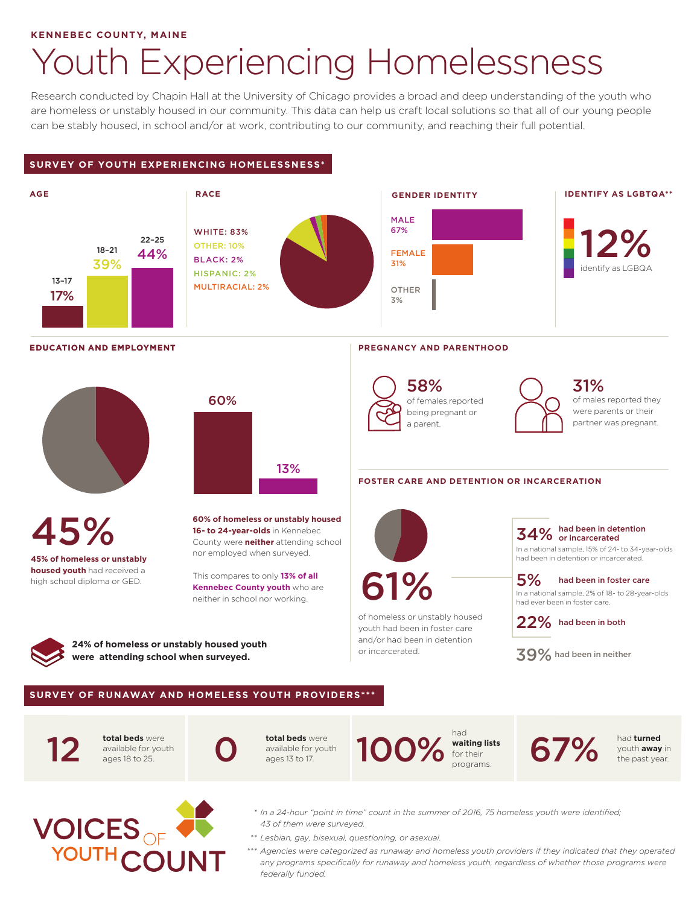## **KENNEBEC COUNTY, MAINE**

## Youth Experiencing Homelessness

Research conducted by Chapin Hall at the University of Chicago provides a broad and deep understanding of the youth who are homeless or unstably housed in our community. This data can help us craft local solutions so that all of our young people can be stably housed, in school and/or at work, contributing to our community, and reaching their full potential.

## **SURVEY OF YOUTH EXPERIENCING HOMELESSNESS\***





- *\* In a 24-hour "point in time" count in the summer of 2016, 75 homeless youth were identified; 43 of them were surveyed.*
- *\*\* Lesbian, gay, bisexual, questioning, or asexual.*
- *\*\*\* Agencies were categorized as runaway and homeless youth providers if they indicated that they operated any programs specifically for runaway and homeless youth, regardless of whether those programs were federally funded.*